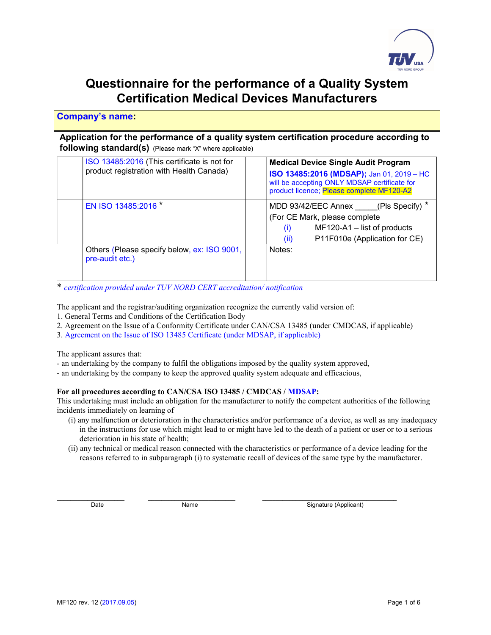

### Questionnaire for the performance of a Quality System Certification Medical Devices Manufacturers

### Company's name:

### Application for the performance of a quality system certification procedure according to following standard(s) (Please mark "X" where applicable)

| ISO 13485:2016 (This certificate is not for<br>product registration with Health Canada) | <b>Medical Device Single Audit Program</b><br>ISO 13485:2016 (MDSAP); Jan 01, 2019 - HC<br>will be accepting ONLY MDSAP certificate for<br>product licence; Please complete MF120-A2 |  |  |
|-----------------------------------------------------------------------------------------|--------------------------------------------------------------------------------------------------------------------------------------------------------------------------------------|--|--|
| EN ISO 13485:2016 *                                                                     | MDD 93/42/EEC Annex (Pls Specify) *<br>(For CE Mark, please complete<br>MF120-A1 - list of products<br>$\left( i\right)$<br>P11F010e (Application for CE)<br>(ii)                    |  |  |
| Others (Please specify below, ex: ISO 9001,<br>pre-audit etc.)                          | Notes:                                                                                                                                                                               |  |  |

\* certification provided under TUV NORD CERT accreditation/ notification

The applicant and the registrar/auditing organization recognize the currently valid version of:

- 1. General Terms and Conditions of the Certification Body
- 2. Agreement on the Issue of a Conformity Certificate under CAN/CSA 13485 (under CMDCAS, if applicable)
- 3. Agreement on the Issue of ISO 13485 Certificate (under MDSAP, if applicable)

The applicant assures that:

- an undertaking by the company to fulfil the obligations imposed by the quality system approved,
- an undertaking by the company to keep the approved quality system adequate and efficacious,

#### For all procedures according to CAN/CSA ISO 13485 / CMDCAS / MDSAP:

This undertaking must include an obligation for the manufacturer to notify the competent authorities of the following incidents immediately on learning of

- (i) any malfunction or deterioration in the characteristics and/or performance of a device, as well as any inadequacy in the instructions for use which might lead to or might have led to the death of a patient or user or to a serious deterioration in his state of health;
- (ii) any technical or medical reason connected with the characteristics or performance of a device leading for the reasons referred to in subparagraph (i) to systematic recall of devices of the same type by the manufacturer.

 $\_$  , and the set of the set of the set of the set of the set of the set of the set of the set of the set of the set of the set of the set of the set of the set of the set of the set of the set of the set of the set of th

Date Name Name Signature (Applicant)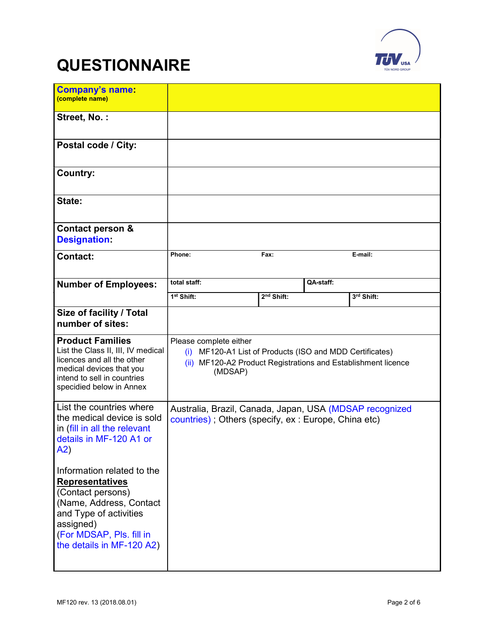

# **QUESTIONNAIRE**

| <b>Company's name</b><br>(complete name)                                                                                                                                                             |                                                                                                                                                                |                        |           |            |
|------------------------------------------------------------------------------------------------------------------------------------------------------------------------------------------------------|----------------------------------------------------------------------------------------------------------------------------------------------------------------|------------------------|-----------|------------|
| Street, No.:                                                                                                                                                                                         |                                                                                                                                                                |                        |           |            |
| Postal code / City:                                                                                                                                                                                  |                                                                                                                                                                |                        |           |            |
| <b>Country:</b>                                                                                                                                                                                      |                                                                                                                                                                |                        |           |            |
| State:                                                                                                                                                                                               |                                                                                                                                                                |                        |           |            |
| Contact person &<br><b>Designation:</b>                                                                                                                                                              |                                                                                                                                                                |                        |           |            |
| <b>Contact:</b>                                                                                                                                                                                      | Phone:                                                                                                                                                         | Fax:                   |           | E-mail:    |
| <b>Number of Employees:</b>                                                                                                                                                                          | total staff:                                                                                                                                                   |                        | QA-staff: |            |
|                                                                                                                                                                                                      | 1 <sup>st</sup> Shift:                                                                                                                                         | 2 <sup>nd</sup> Shift: |           | 3rd Shift: |
| Size of facility / Total<br>number of sites:                                                                                                                                                         |                                                                                                                                                                |                        |           |            |
| <b>Product Families</b><br>List the Class II, III, IV medical<br>licences and all the other<br>medical devices that you<br>intend to sell in countries<br>specidied below in Annex                   | Please complete either<br>(i) MF120-A1 List of Products (ISO and MDD Certificates)<br>(ii) MF120-A2 Product Registrations and Establishment licence<br>(MDSAP) |                        |           |            |
| List the countries where<br>the medical device is sold<br>in (fill in all the relevant<br>details in MF-120 A1 or<br>A2)                                                                             | Australia, Brazil, Canada, Japan, USA (MDSAP recognized<br>countries); Others (specify, ex: Europe, China etc)                                                 |                        |           |            |
| Information related to the<br><b>Representatives</b><br>(Contact persons)<br>(Name, Address, Contact<br>and Type of activities<br>assigned)<br>(For MDSAP, Pls. fill in<br>the details in MF-120 A2) |                                                                                                                                                                |                        |           |            |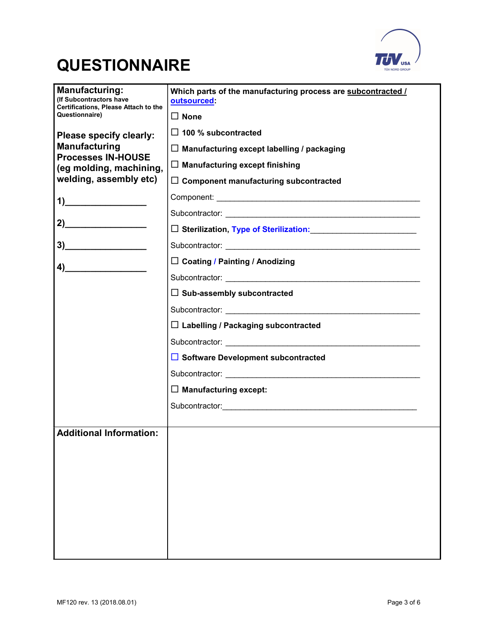



| <b>Manufacturing:</b><br>(If Subcontractors have                                                                                                                                                                                                                                                                                                                                     | Which parts of the manufacturing process are subcontracted /<br>outsourced: |  |
|--------------------------------------------------------------------------------------------------------------------------------------------------------------------------------------------------------------------------------------------------------------------------------------------------------------------------------------------------------------------------------------|-----------------------------------------------------------------------------|--|
| <b>Certifications, Please Attach to the</b><br>Questionnaire)                                                                                                                                                                                                                                                                                                                        | $\Box$ None                                                                 |  |
| Please specify clearly:                                                                                                                                                                                                                                                                                                                                                              | $\Box$ 100 % subcontracted                                                  |  |
| <b>Manufacturing</b>                                                                                                                                                                                                                                                                                                                                                                 | $\Box$ Manufacturing except labelling / packaging                           |  |
| <b>Processes IN-HOUSE</b><br>(eg molding, machining,                                                                                                                                                                                                                                                                                                                                 | $\Box$ Manufacturing except finishing                                       |  |
| welding, assembly etc)                                                                                                                                                                                                                                                                                                                                                               | $\Box$ Component manufacturing subcontracted                                |  |
| 1)                                                                                                                                                                                                                                                                                                                                                                                   |                                                                             |  |
|                                                                                                                                                                                                                                                                                                                                                                                      |                                                                             |  |
| 2)                                                                                                                                                                                                                                                                                                                                                                                   | □ Sterilization, Type of Sterilization:                                     |  |
| 3)                                                                                                                                                                                                                                                                                                                                                                                   |                                                                             |  |
| $\overline{a}$ $\overline{a}$ $\overline{a}$ $\overline{a}$ $\overline{a}$ $\overline{a}$ $\overline{a}$ $\overline{a}$ $\overline{a}$ $\overline{a}$ $\overline{a}$ $\overline{a}$ $\overline{a}$ $\overline{a}$ $\overline{a}$ $\overline{a}$ $\overline{a}$ $\overline{a}$ $\overline{a}$ $\overline{a}$ $\overline{a}$ $\overline{a}$ $\overline{a}$ $\overline{a}$ $\overline{$ | $\Box$ Coating / Painting / Anodizing                                       |  |
|                                                                                                                                                                                                                                                                                                                                                                                      |                                                                             |  |
|                                                                                                                                                                                                                                                                                                                                                                                      | $\Box$ Sub-assembly subcontracted                                           |  |
|                                                                                                                                                                                                                                                                                                                                                                                      |                                                                             |  |
|                                                                                                                                                                                                                                                                                                                                                                                      | $\Box$ Labelling / Packaging subcontracted                                  |  |
|                                                                                                                                                                                                                                                                                                                                                                                      |                                                                             |  |
|                                                                                                                                                                                                                                                                                                                                                                                      | $\Box$ Software Development subcontracted                                   |  |
|                                                                                                                                                                                                                                                                                                                                                                                      |                                                                             |  |
|                                                                                                                                                                                                                                                                                                                                                                                      | $\Box$ Manufacturing except:                                                |  |
|                                                                                                                                                                                                                                                                                                                                                                                      |                                                                             |  |
| <b>Additional Information:</b>                                                                                                                                                                                                                                                                                                                                                       |                                                                             |  |
|                                                                                                                                                                                                                                                                                                                                                                                      |                                                                             |  |
|                                                                                                                                                                                                                                                                                                                                                                                      |                                                                             |  |
|                                                                                                                                                                                                                                                                                                                                                                                      |                                                                             |  |
|                                                                                                                                                                                                                                                                                                                                                                                      |                                                                             |  |
|                                                                                                                                                                                                                                                                                                                                                                                      |                                                                             |  |
|                                                                                                                                                                                                                                                                                                                                                                                      |                                                                             |  |
|                                                                                                                                                                                                                                                                                                                                                                                      |                                                                             |  |
|                                                                                                                                                                                                                                                                                                                                                                                      |                                                                             |  |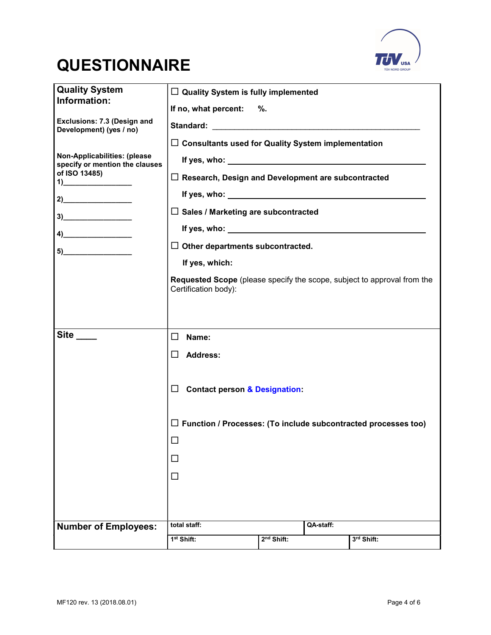

## **QUESTIONNAIRE**

| <b>Quality System</b><br>Information:                                                                                                                                                                                                                                                                                                                                                                                                                                  | $\Box$ Quality System is fully implemented                                                      |                        |           |            |
|------------------------------------------------------------------------------------------------------------------------------------------------------------------------------------------------------------------------------------------------------------------------------------------------------------------------------------------------------------------------------------------------------------------------------------------------------------------------|-------------------------------------------------------------------------------------------------|------------------------|-----------|------------|
|                                                                                                                                                                                                                                                                                                                                                                                                                                                                        | If no, what percent: %.                                                                         |                        |           |            |
| Exclusions: 7.3 (Design and<br>Development) (yes / no)                                                                                                                                                                                                                                                                                                                                                                                                                 |                                                                                                 |                        |           |            |
|                                                                                                                                                                                                                                                                                                                                                                                                                                                                        | $\Box$ Consultants used for Quality System implementation                                       |                        |           |            |
| Non-Applicabilities: (please<br>specify or mention the clauses                                                                                                                                                                                                                                                                                                                                                                                                         |                                                                                                 |                        |           |            |
| of ISO 13485)<br>$\overline{1}$ $\overline{1}$ $\overline{1}$ $\overline{1}$ $\overline{1}$ $\overline{1}$ $\overline{1}$ $\overline{1}$ $\overline{1}$ $\overline{1}$ $\overline{1}$ $\overline{1}$ $\overline{1}$ $\overline{1}$ $\overline{1}$ $\overline{1}$ $\overline{1}$ $\overline{1}$ $\overline{1}$ $\overline{1}$ $\overline{1}$ $\overline{1}$ $\overline{1}$ $\overline{1}$ $\overline{$                                                                  | $\Box$ Research, Design and Development are subcontracted                                       |                        |           |            |
|                                                                                                                                                                                                                                                                                                                                                                                                                                                                        |                                                                                                 |                        |           |            |
| $3)$ and $\overline{\phantom{a}3)$ and $\overline{\phantom{a}3)$ and $\overline{\phantom{a}3)$ and $\overline{\phantom{a}3)$ and $\overline{\phantom{a}3)$ and $\overline{\phantom{a}3)$ and $\overline{\phantom{a}3)$ and $\overline{\phantom{a}3)$ and $\overline{\phantom{a}3)$ and $\overline{\phantom{a}3)$ and $\overline{\phantom{a}3)$ and $\overline{\phantom{a}3)$                                                                                           | $\Box$ Sales / Marketing are subcontracted                                                      |                        |           |            |
| $\left( \begin{array}{ccc} 4) & \phantom{1} & \phantom{1} & \phantom{1} \\ \phantom{1} & \phantom{1} & \phantom{1} & \phantom{1} \\ \phantom{1} & \phantom{1} & \phantom{1} & \phantom{1} \\ \phantom{1} & \phantom{1} & \phantom{1} & \phantom{1} \\ \phantom{1} & \phantom{1} & \phantom{1} & \phantom{1} \\ \phantom{1} & \phantom{1} & \phantom{1} & \phantom{1} \\ \phantom{1} & \phantom{1} & \phantom{1} & \phantom{1} \\ \phantom{1} & \phantom{1} & \phantom$ |                                                                                                 |                        |           |            |
|                                                                                                                                                                                                                                                                                                                                                                                                                                                                        | $\Box$ Other departments subcontracted.                                                         |                        |           |            |
|                                                                                                                                                                                                                                                                                                                                                                                                                                                                        | If yes, which:                                                                                  |                        |           |            |
|                                                                                                                                                                                                                                                                                                                                                                                                                                                                        | Requested Scope (please specify the scope, subject to approval from the<br>Certification body): |                        |           |            |
|                                                                                                                                                                                                                                                                                                                                                                                                                                                                        |                                                                                                 |                        |           |            |
|                                                                                                                                                                                                                                                                                                                                                                                                                                                                        |                                                                                                 |                        |           |            |
| $Site$ <sub>----</sub>                                                                                                                                                                                                                                                                                                                                                                                                                                                 | $\Box$<br>Name:                                                                                 |                        |           |            |
|                                                                                                                                                                                                                                                                                                                                                                                                                                                                        | <b>Address:</b><br>$\mathsf{L}$                                                                 |                        |           |            |
|                                                                                                                                                                                                                                                                                                                                                                                                                                                                        |                                                                                                 |                        |           |            |
|                                                                                                                                                                                                                                                                                                                                                                                                                                                                        | $\Box$<br><b>Contact person &amp; Designation:</b>                                              |                        |           |            |
|                                                                                                                                                                                                                                                                                                                                                                                                                                                                        |                                                                                                 |                        |           |            |
|                                                                                                                                                                                                                                                                                                                                                                                                                                                                        | $\Box$ Function / Processes: (To include subcontracted processes too)                           |                        |           |            |
|                                                                                                                                                                                                                                                                                                                                                                                                                                                                        | $\Box$                                                                                          |                        |           |            |
|                                                                                                                                                                                                                                                                                                                                                                                                                                                                        | □                                                                                               |                        |           |            |
|                                                                                                                                                                                                                                                                                                                                                                                                                                                                        | □                                                                                               |                        |           |            |
|                                                                                                                                                                                                                                                                                                                                                                                                                                                                        |                                                                                                 |                        |           |            |
|                                                                                                                                                                                                                                                                                                                                                                                                                                                                        |                                                                                                 |                        |           |            |
| <b>Number of Employees:</b>                                                                                                                                                                                                                                                                                                                                                                                                                                            | total staff:                                                                                    |                        | QA-staff: |            |
|                                                                                                                                                                                                                                                                                                                                                                                                                                                                        | 1 <sup>st</sup> Shift:                                                                          | 2 <sup>nd</sup> Shift: |           | 3rd Shift: |
|                                                                                                                                                                                                                                                                                                                                                                                                                                                                        |                                                                                                 |                        |           |            |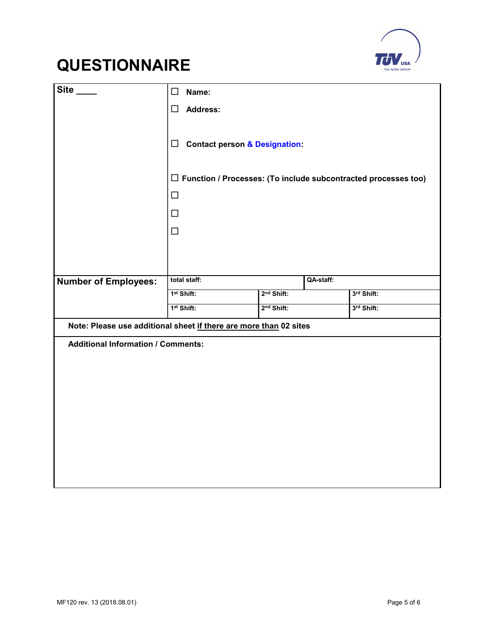



| Site                                                              | $\Box$<br>Name:                                                       |                        |           |            |
|-------------------------------------------------------------------|-----------------------------------------------------------------------|------------------------|-----------|------------|
|                                                                   | <b>Address:</b><br>$\Box$                                             |                        |           |            |
|                                                                   | Contact person & Designation:                                         |                        |           |            |
|                                                                   | $\Box$ Function / Processes: (To include subcontracted processes too) |                        |           |            |
|                                                                   | $\Box$                                                                |                        |           |            |
|                                                                   | $\Box$                                                                |                        |           |            |
|                                                                   | $\Box$                                                                |                        |           |            |
|                                                                   |                                                                       |                        |           |            |
|                                                                   | total staff:                                                          |                        | QA-staff: |            |
| <b>Number of Employees:</b>                                       | 1 <sup>st</sup> Shift:                                                | 2 <sup>nd</sup> Shift: |           | 3rd Shift: |
|                                                                   | 1 <sup>st</sup> Shift:                                                | 2 <sup>nd</sup> Shift: |           | 3rd Shift: |
| Note: Please use additional sheet if there are more than 02 sites |                                                                       |                        |           |            |
| <b>Additional Information / Comments:</b>                         |                                                                       |                        |           |            |
|                                                                   |                                                                       |                        |           |            |
|                                                                   |                                                                       |                        |           |            |
|                                                                   |                                                                       |                        |           |            |
|                                                                   |                                                                       |                        |           |            |
|                                                                   |                                                                       |                        |           |            |
|                                                                   |                                                                       |                        |           |            |
|                                                                   |                                                                       |                        |           |            |